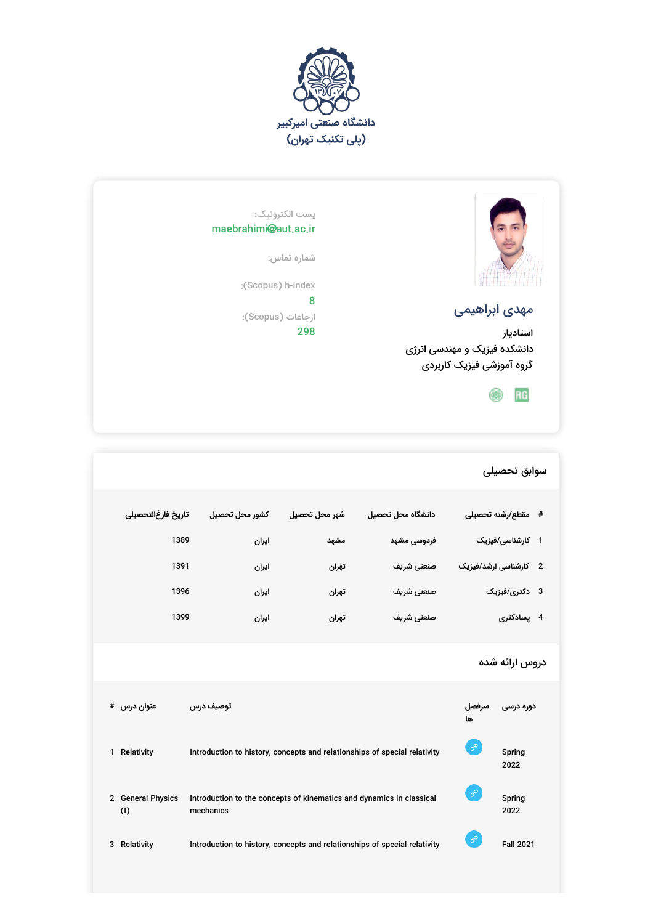